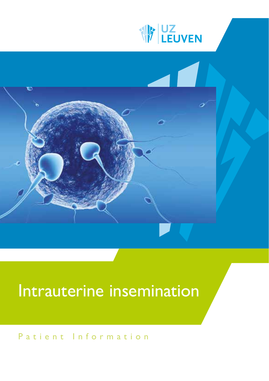



# Intrauterine insemination

# Patient Information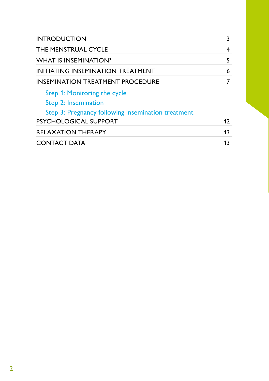| THE MENSTRUAL CYCLE<br><b>WHAT IS INSEMINATION?</b><br>INITIATING INSEMINATION TREATMENT<br><b>INSEMINATION TREATMENT PROCEDURE</b><br>Step 1: Monitoring the cycle<br>Step 2: Insemination<br>Step 3: Pregnancy following insemination treatment<br>PSYCHOLOGICAL SUPPORT<br><b>RELAXATION THERAPY</b><br><b>CONTACT DATA</b> | <b>INTRODUCTION</b> | 3  |
|--------------------------------------------------------------------------------------------------------------------------------------------------------------------------------------------------------------------------------------------------------------------------------------------------------------------------------|---------------------|----|
|                                                                                                                                                                                                                                                                                                                                |                     | 4  |
|                                                                                                                                                                                                                                                                                                                                |                     | 5  |
|                                                                                                                                                                                                                                                                                                                                |                     | 6  |
|                                                                                                                                                                                                                                                                                                                                |                     | 7  |
|                                                                                                                                                                                                                                                                                                                                |                     |    |
|                                                                                                                                                                                                                                                                                                                                |                     |    |
|                                                                                                                                                                                                                                                                                                                                |                     |    |
|                                                                                                                                                                                                                                                                                                                                |                     | 12 |
|                                                                                                                                                                                                                                                                                                                                |                     | 13 |
|                                                                                                                                                                                                                                                                                                                                |                     | 13 |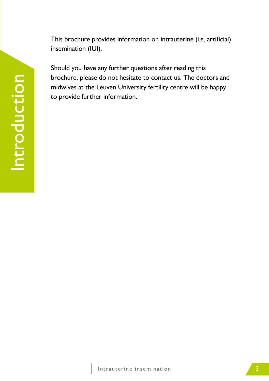This brochure provides information on intrauterine (i.e. artificial) insemination (IUI).

Should you have any further questions after reading this brochure, please do not hesitate to contact us. The doctors and midwives at the Leuven University fertility centre will be happy to provide further information.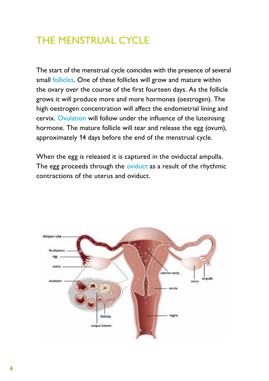# THE MENSTRUAL CYCLE

The start of the menstrual cycle coincides with the presence of several small follicles. One of these follicles will grow and mature within the ovary over the course of the first fourteen days. As the follicle grows it will produce more and more hormones (oestrogen). The high oestrogen concentration will affect the endometrial lining and cervix. Ovulation will follow under the influence of the luteinising hormone. The mature follicle will tear and release the egg (ovum), approximately 14 days before the end of the menstrual cycle.

When the egg is released it is captured in the oviductal ampulla. The egg proceeds through the oviduct as a result of the rhythmic contractions of the uterus and oviduct.

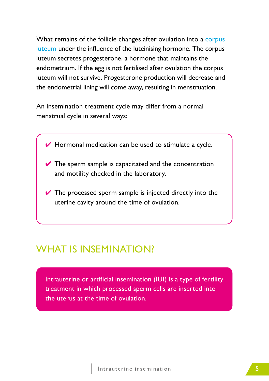What remains of the follicle changes after ovulation into a corpus luteum under the influence of the luteinising hormone. The corpus luteum secretes progesterone, a hormone that maintains the endometrium. If the egg is not fertilised after ovulation the corpus luteum will not survive. Progesterone production will decrease and the endometrial lining will come away, resulting in menstruation.

An insemination treatment cycle may differ from a normal menstrual cycle in several ways:

 $\vee$  Hormonal medication can be used to stimulate a cycle.  $\vee$  The sperm sample is capacitated and the concentration and motility checked in the laboratory.  $\vee$  The processed sperm sample is injected directly into the uterine cavity around the time of ovulation.

# WHAT IS INSEMINATION?

Intrauterine or artificial insemination (IUI) is a type of fertility treatment in which processed sperm cells are inserted into the uterus at the time of ovulation.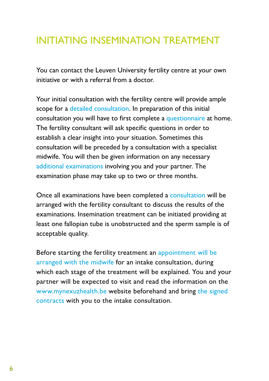# INITIATING INSEMINATION TREATMENT

You can contact the Leuven University fertility centre at your own initiative or with a referral from a doctor.

Your initial consultation with the fertility centre will provide ample scope for a detailed consultation. In preparation of this initial consultation you will have to first complete a questionnaire at home. The fertility consultant will ask specific questions in order to establish a clear insight into your situation. Sometimes this consultation will be preceded by a consultation with a specialist midwife. You will then be given information on any necessary additional examinations involving you and your partner. The examination phase may take up to two or three months.

Once all examinations have been completed a consultation will be arranged with the fertility consultant to discuss the results of the examinations. Insemination treatment can be initiated providing at least one fallopian tube is unobstructed and the sperm sample is of acceptable quality.

Before starting the fertility treatment an appointment will be arranged with the midwife for an intake consultation, during which each stage of the treatment will be explained. You and your partner will be expected to visit and read the information on the www.mynexuzhealth.be website beforehand and bring the signed contracts with you to the intake consultation.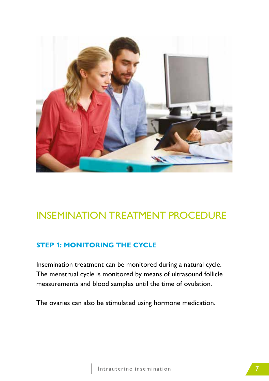

### INSEMINATION TREATMENT PROCEDURE

#### **STEP 1: MONITORING THE CYCLE**

Insemination treatment can be monitored during a natural cycle. The menstrual cycle is monitored by means of ultrasound follicle measurements and blood samples until the time of ovulation.

The ovaries can also be stimulated using hormone medication.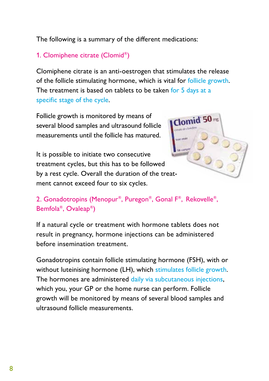The following is a summary of the different medications:

### 1. Clomiphene citrate (Clomid®)

Clomiphene citrate is an anti-oestrogen that stimulates the release of the follicle stimulating hormone, which is vital for follicle growth. The treatment is based on tablets to be taken for 5 days at a specific stage of the cycle.

Follicle growth is monitored by means of several blood samples and ultrasound follicle measurements until the follicle has matured.



It is possible to initiate two consecutive treatment cycles, but this has to be followed by a rest cycle. Overall the duration of the treatment cannot exceed four to six cycles.

### 2. Gonadotropins (Menopur®, Puregon®, Gonal F®, Rekovelle®, Bemfola®, Ovaleap®)

If a natural cycle or treatment with hormone tablets does not result in pregnancy, hormone injections can be administered before insemination treatment.

Gonadotropins contain follicle stimulating hormone (FSH), with or without luteinising hormone (LH), which stimulates follicle growth. The hormones are administered daily via subcutaneous injections, which you, your GP or the home nurse can perform. Follicle growth will be monitored by means of several blood samples and ultrasound follicle measurements.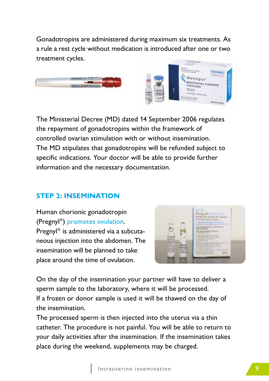Gonadotropins are administered during maximum six treatments. As a rule a rest cycle without medication is introduced after one or two treatment cycles.





The Ministerial Decree (MD) dated 14 September 2006 regulates the repayment of gonadotropins within the framework of controlled ovarian stimulation with or without insemination. The MD stipulates that gonadotropins will be refunded subject to specific indications. Your doctor will be able to provide further information and the necessary documentation.

### **STEP 2: INSEMINATION**

Human chorionic gonadotropin (Pregnyl®) promotes ovulation. Pregnyl® is administered via a subcutaneous injection into the abdomen. The insemination will be planned to take place around the time of ovulation.



On the day of the insemination your partner will have to deliver a sperm sample to the laboratory, where it will be processed. If a frozen or donor sample is used it will be thawed on the day of the insemination.

The processed sperm is then injected into the uterus via a thin catheter. The procedure is not painful. You will be able to return to your daily activities after the insemination. If the insemination takes place during the weekend, supplements may be charged.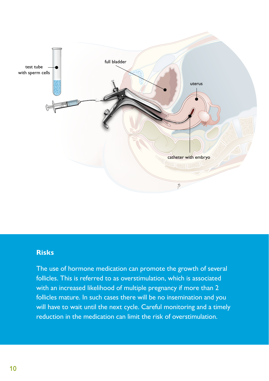

#### **Risks**

The use of hormone medication can promote the growth of several follicles. This is referred to as overstimulation, which is associated with an increased likelihood of multiple pregnancy if more than 2 follicles mature. In such cases there will be no insemination and you will have to wait until the next cycle. Careful monitoring and a timely reduction in the medication can limit the risk of overstimulation.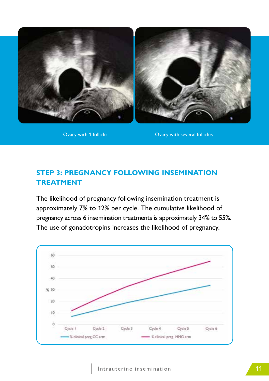

Ovary with 1 follicle Ovary with several follicles

### **STEP 3: PREGNANCY FOLLOWING INSEMINATION TREATMENT**

The likelihood of pregnancy following insemination treatment is approximately 7% to 12% per cycle. The cumulative likelihood of pregnancy across 6 insemination treatments is approximately 34% to 55%. The use of gonadotropins increases the likelihood of pregnancy.

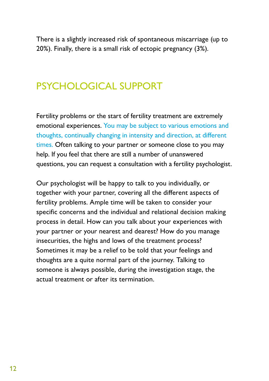There is a slightly increased risk of spontaneous miscarriage (up to 20%). Finally, there is a small risk of ectopic pregnancy (3%).

### PSYCHOLOGICAL SUPPORT

Fertility problems or the start of fertility treatment are extremely emotional experiences. You may be subject to various emotions and thoughts, continually changing in intensity and direction, at different times. Often talking to your partner or someone close to you may help. If you feel that there are still a number of unanswered questions, you can request a consultation with a fertility psychologist.

Our psychologist will be happy to talk to you individually, or together with your partner, covering all the different aspects of fertility problems. Ample time will be taken to consider your specific concerns and the individual and relational decision making process in detail. How can you talk about your experiences with your partner or your nearest and dearest? How do you manage insecurities, the highs and lows of the treatment process? Sometimes it may be a relief to be told that your feelings and thoughts are a quite normal part of the journey. Talking to someone is always possible, during the investigation stage, the actual treatment or after its termination.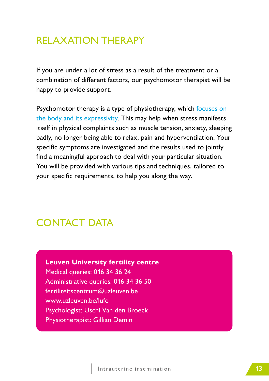# RELAXATION THERAPY

If you are under a lot of stress as a result of the treatment or a combination of different factors, our psychomotor therapist will be happy to provide support.

Psychomotor therapy is a type of physiotherapy, which focuses on the body and its expressivity. This may help when stress manifests itself in physical complaints such as muscle tension, anxiety, sleeping badly, no longer being able to relax, pain and hyperventilation. Your specific symptoms are investigated and the results used to jointly find a meaningful approach to deal with your particular situation. You will be provided with various tips and techniques, tailored to your specific requirements, to help you along the way.

# CONTACT DATA

### **Leuven University fertility centre** Medical queries: 016 34 36 24 Administrative queries: 016 34 36 50 fertiliteitscentrum@uzleuven.be www.uzleuven.be/lufc Psychologist: Uschi Van den Broeck Physiotherapist: Gillian Demin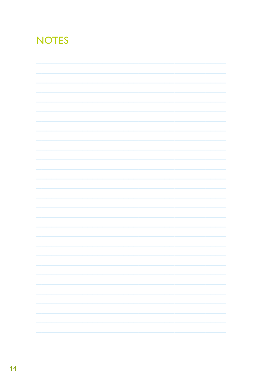# **NOTES**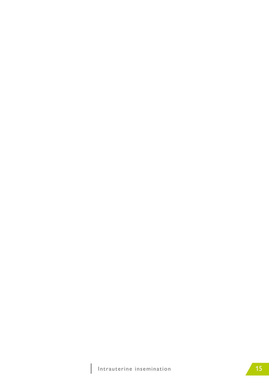I